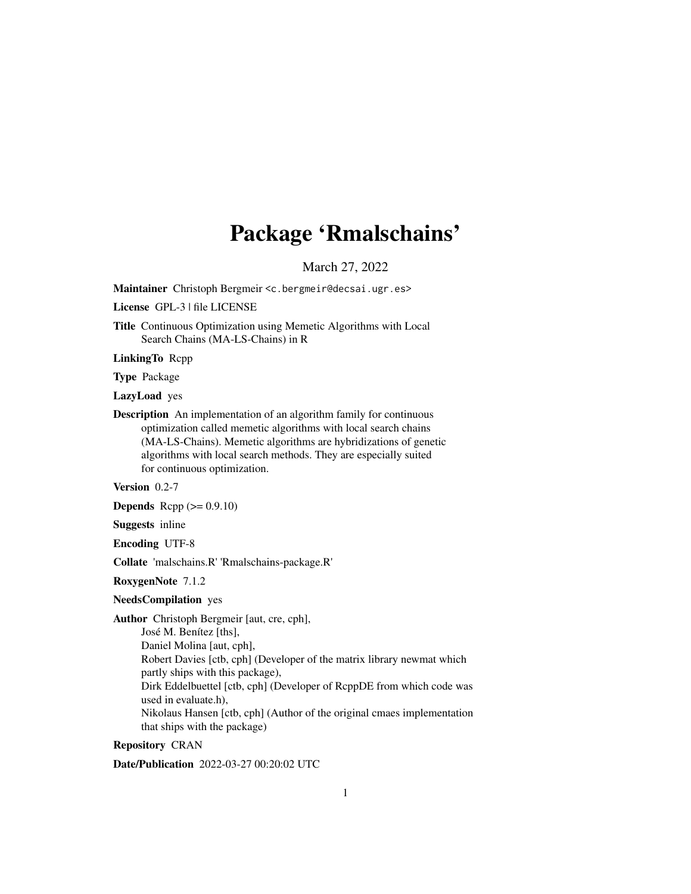# Package 'Rmalschains'

March 27, 2022

Maintainer Christoph Bergmeir <c.bergmeir@decsai.ugr.es>

License GPL-3 | file LICENSE

Title Continuous Optimization using Memetic Algorithms with Local Search Chains (MA-LS-Chains) in R

LinkingTo Rcpp

Type Package

LazyLoad yes

Description An implementation of an algorithm family for continuous optimization called memetic algorithms with local search chains (MA-LS-Chains). Memetic algorithms are hybridizations of genetic algorithms with local search methods. They are especially suited for continuous optimization.

Version 0.2-7

**Depends** Rcpp  $(>= 0.9.10)$ 

Suggests inline

Encoding UTF-8

Collate 'malschains.R' 'Rmalschains-package.R'

RoxygenNote 7.1.2

#### NeedsCompilation yes

Author Christoph Bergmeir [aut, cre, cph],

José M. Benítez [ths],

Daniel Molina [aut, cph],

Robert Davies [ctb, cph] (Developer of the matrix library newmat which partly ships with this package),

Dirk Eddelbuettel [ctb, cph] (Developer of RcppDE from which code was used in evaluate.h),

Nikolaus Hansen [ctb, cph] (Author of the original cmaes implementation that ships with the package)

## Repository CRAN

Date/Publication 2022-03-27 00:20:02 UTC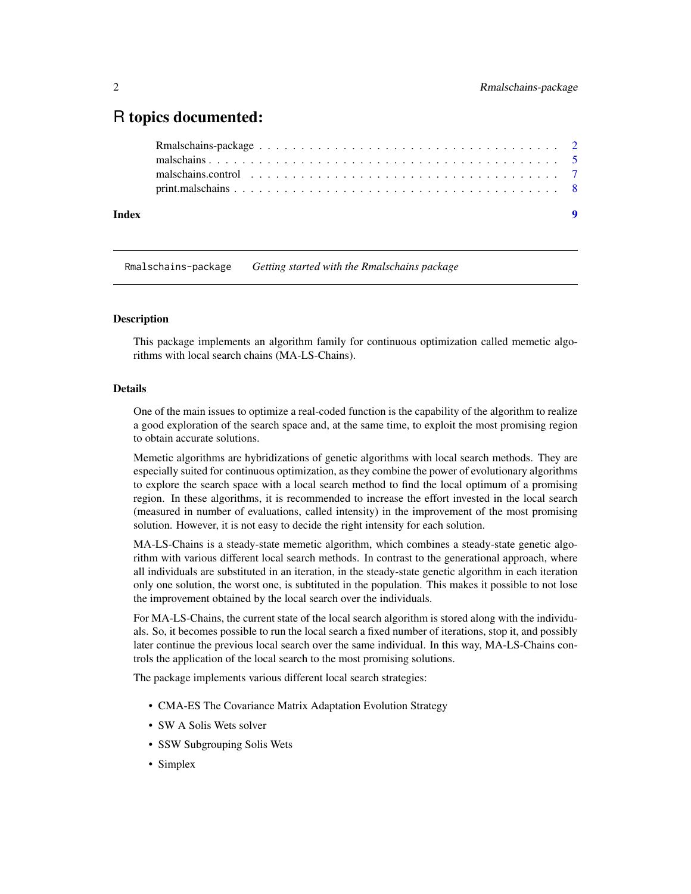# <span id="page-1-0"></span>R topics documented:

|       | malschains.control $\ldots \ldots \ldots \ldots \ldots \ldots \ldots \ldots \ldots \ldots \ldots \ldots \ldots$ |  |
|-------|-----------------------------------------------------------------------------------------------------------------|--|
|       |                                                                                                                 |  |
| Index | $\bullet$                                                                                                       |  |

Rmalschains-package *Getting started with the Rmalschains package*

#### Description

This package implements an algorithm family for continuous optimization called memetic algorithms with local search chains (MA-LS-Chains).

#### Details

One of the main issues to optimize a real-coded function is the capability of the algorithm to realize a good exploration of the search space and, at the same time, to exploit the most promising region to obtain accurate solutions.

Memetic algorithms are hybridizations of genetic algorithms with local search methods. They are especially suited for continuous optimization, as they combine the power of evolutionary algorithms to explore the search space with a local search method to find the local optimum of a promising region. In these algorithms, it is recommended to increase the effort invested in the local search (measured in number of evaluations, called intensity) in the improvement of the most promising solution. However, it is not easy to decide the right intensity for each solution.

MA-LS-Chains is a steady-state memetic algorithm, which combines a steady-state genetic algorithm with various different local search methods. In contrast to the generational approach, where all individuals are substituted in an iteration, in the steady-state genetic algorithm in each iteration only one solution, the worst one, is subtituted in the population. This makes it possible to not lose the improvement obtained by the local search over the individuals.

For MA-LS-Chains, the current state of the local search algorithm is stored along with the individuals. So, it becomes possible to run the local search a fixed number of iterations, stop it, and possibly later continue the previous local search over the same individual. In this way, MA-LS-Chains controls the application of the local search to the most promising solutions.

The package implements various different local search strategies:

- CMA-ES The Covariance Matrix Adaptation Evolution Strategy
- SW A Solis Wets solver
- SSW Subgrouping Solis Wets
- Simplex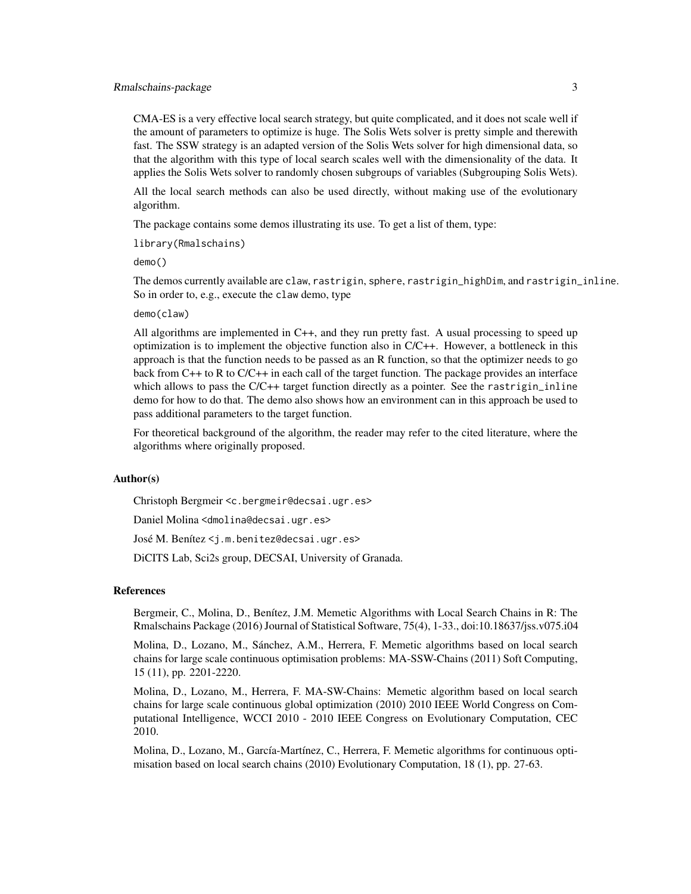#### Rmalschains-package 3

CMA-ES is a very effective local search strategy, but quite complicated, and it does not scale well if the amount of parameters to optimize is huge. The Solis Wets solver is pretty simple and therewith fast. The SSW strategy is an adapted version of the Solis Wets solver for high dimensional data, so that the algorithm with this type of local search scales well with the dimensionality of the data. It applies the Solis Wets solver to randomly chosen subgroups of variables (Subgrouping Solis Wets).

All the local search methods can also be used directly, without making use of the evolutionary algorithm.

The package contains some demos illustrating its use. To get a list of them, type:

library(Rmalschains)

demo()

The demos currently available are claw, rastrigin, sphere, rastrigin\_highDim, and rastrigin\_inline. So in order to, e.g., execute the claw demo, type

#### demo(claw)

All algorithms are implemented in C++, and they run pretty fast. A usual processing to speed up optimization is to implement the objective function also in C/C++. However, a bottleneck in this approach is that the function needs to be passed as an R function, so that the optimizer needs to go back from C++ to R to C/C++ in each call of the target function. The package provides an interface which allows to pass the  $C/C++$  target function directly as a pointer. See the rastrigin\_inline demo for how to do that. The demo also shows how an environment can in this approach be used to pass additional parameters to the target function.

For theoretical background of the algorithm, the reader may refer to the cited literature, where the algorithms where originally proposed.

#### Author(s)

Christoph Bergmeir <c.bergmeir@decsai.ugr.es>

Daniel Molina <dmolina@decsai.ugr.es>

José M. Benítez <j.m.benitez@decsai.ugr.es>

DiCITS Lab, Sci2s group, DECSAI, University of Granada.

#### References

Bergmeir, C., Molina, D., Benítez, J.M. Memetic Algorithms with Local Search Chains in R: The Rmalschains Package (2016) Journal of Statistical Software, 75(4), 1-33., doi:10.18637/jss.v075.i04

Molina, D., Lozano, M., Sánchez, A.M., Herrera, F. Memetic algorithms based on local search chains for large scale continuous optimisation problems: MA-SSW-Chains (2011) Soft Computing, 15 (11), pp. 2201-2220.

Molina, D., Lozano, M., Herrera, F. MA-SW-Chains: Memetic algorithm based on local search chains for large scale continuous global optimization (2010) 2010 IEEE World Congress on Computational Intelligence, WCCI 2010 - 2010 IEEE Congress on Evolutionary Computation, CEC 2010.

Molina, D., Lozano, M., García-Martínez, C., Herrera, F. Memetic algorithms for continuous optimisation based on local search chains (2010) Evolutionary Computation, 18 (1), pp. 27-63.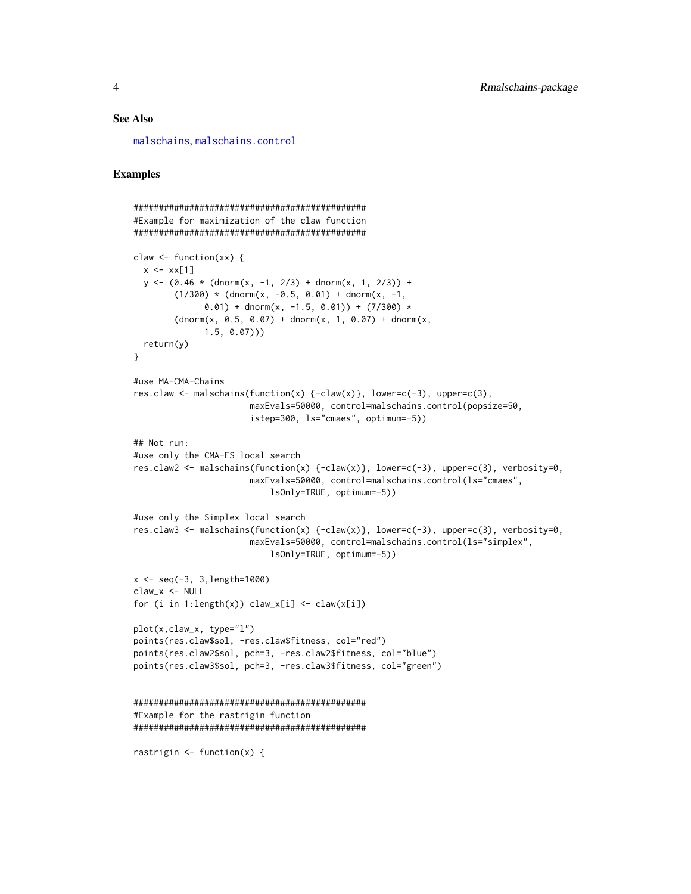#### <span id="page-3-0"></span>See Also

[malschains](#page-4-1), [malschains.control](#page-6-1)

#### Examples

```
##############################################
#Example for maximization of the claw function
##############################################
claw \le function(xx) {
  x \le - x \times [1]y \le -(0.46 \times (dnorm(x, -1, 2/3) + dnorm(x, 1, 2/3)) +(1/300) * (dnorm(x, -0.5, 0.01) + dnorm(x, -1,
              0.01) + dnorm(x, -1.5, 0.01)) + (7/300) *
        (dnorm(x, 0.5, 0.07) + donorm(x, 1, 0.07) + donorm(x,1.5, 0.07)))
  return(y)
}
#use MA-CMA-Chains
res.claw <- malschains(function(x) {-claw(x)}, lower=c(-3), upper=c(3),
                        maxEvals=50000, control=malschains.control(popsize=50,
                        istep=300, ls="cmaes", optimum=-5))
## Not run:
#use only the CMA-ES local search
res.claw2 <- malschains(function(x) {-claw(x)}, lower=c(-3), upper=c(3), verbosity=0,
                        maxEvals=50000, control=malschains.control(ls="cmaes",
                            lsOnly=TRUE, optimum=-5))
#use only the Simplex local search
res.claw3 <- malschains(function(x) {-claw(x)}, lower=c(-3), upper=c(3), verbosity=0,
                        maxEvals=50000, control=malschains.control(ls="simplex",
                            lsOnly=TRUE, optimum=-5))
x \leq -\text{seq}(-3, 3, \text{length}=1000)claw_x <- NULL
for (i in 1:length(x)) claw_x[i] \leftarrow claw(x[i])plot(x,claw_x, type="l")
points(res.claw$sol, -res.claw$fitness, col="red")
points(res.claw2$sol, pch=3, -res.claw2$fitness, col="blue")
points(res.claw3$sol, pch=3, -res.claw3$fitness, col="green")
##############################################
#Example for the rastrigin function
##############################################
rastrigin \leq function(x) {
```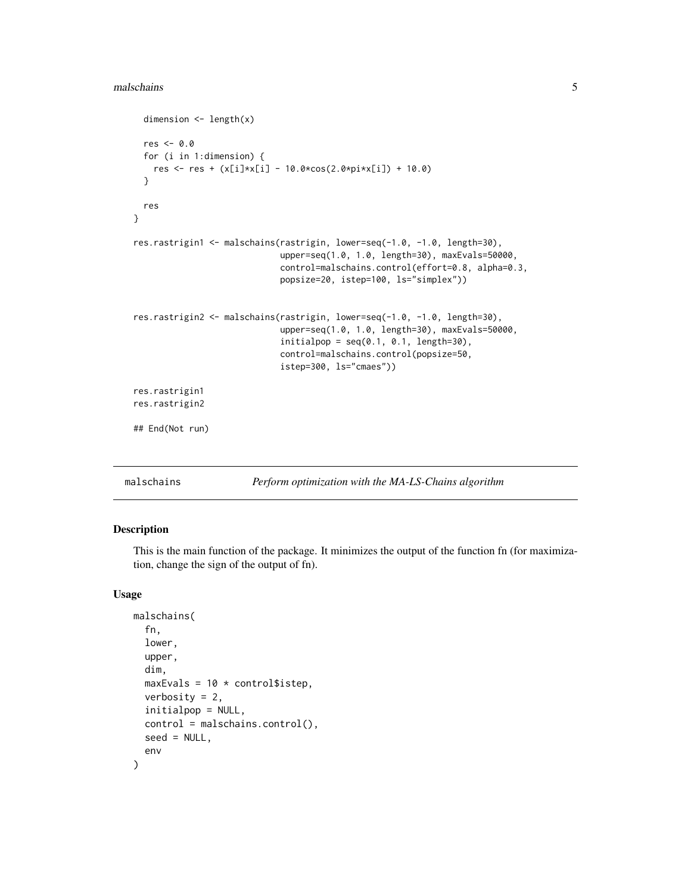#### <span id="page-4-0"></span>malschains 5

```
dimension <- length(x)
 res <- 0.0
 for (i in 1:dimension) {
   res <- res + (x[i]*x[i] - 10.0*cos(2.0*pi*x[i]) + 10.0)
 }
 res
}
res.rastrigin1 <- malschains(rastrigin, lower=seq(-1.0, -1.0, length=30),
                             upper=seq(1.0, 1.0, length=30), maxEvals=50000,
                             control=malschains.control(effort=0.8, alpha=0.3,
                             popsize=20, istep=100, ls="simplex"))
res.rastrigin2 <- malschains(rastrigin, lower=seq(-1.0, -1.0, length=30),
                             upper=seq(1.0, 1.0, length=30), maxEvals=50000,
                             initialpop = seq(0.1, 0.1, length=30),
                             control=malschains.control(popsize=50,
                             istep=300, ls="cmaes"))
res.rastrigin1
res.rastrigin2
## End(Not run)
```
<span id="page-4-1"></span>malschains *Perform optimization with the MA-LS-Chains algorithm*

#### Description

This is the main function of the package. It minimizes the output of the function fn (for maximization, change the sign of the output of fn).

#### Usage

```
malschains(
  fn,
  lower,
  upper,
  dim,
  maxEvals = 10 * \text{control$}verbosity = 2,
  initialpop = NULL,
  control = malschains.control(),
  seed = NULL,
  env
)
```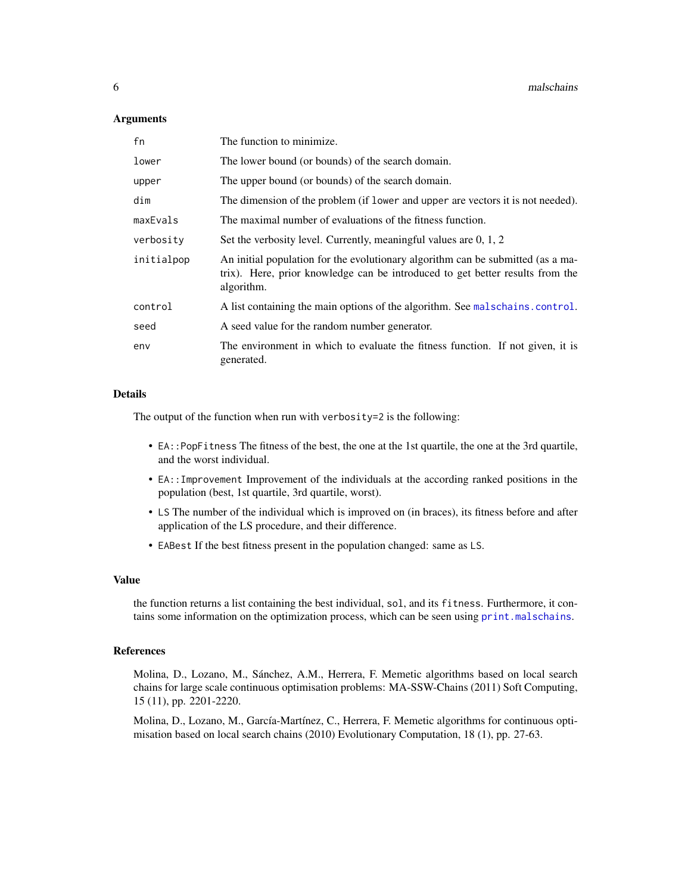#### <span id="page-5-0"></span>**Arguments**

| fn         | The function to minimize.                                                                                                                                                      |
|------------|--------------------------------------------------------------------------------------------------------------------------------------------------------------------------------|
| lower      | The lower bound (or bounds) of the search domain.                                                                                                                              |
| upper      | The upper bound (or bounds) of the search domain.                                                                                                                              |
| dim        | The dimension of the problem (if lower and upper are vectors it is not needed).                                                                                                |
| maxEvals   | The maximal number of evaluations of the fitness function.                                                                                                                     |
| verbosity  | Set the verbosity level. Currently, meaningful values are 0, 1, 2                                                                                                              |
| initialpop | An initial population for the evolutionary algorithm can be submitted (as a ma-<br>trix). Here, prior knowledge can be introduced to get better results from the<br>algorithm. |
| control    | A list containing the main options of the algorithm. See malschains.control.                                                                                                   |
| seed       | A seed value for the random number generator.                                                                                                                                  |
| env        | The environment in which to evaluate the fitness function. If not given, it is<br>generated.                                                                                   |

#### Details

The output of the function when run with verbosity=2 is the following:

- EA::PopFitness The fitness of the best, the one at the 1st quartile, the one at the 3rd quartile, and the worst individual.
- EA::Improvement Improvement of the individuals at the according ranked positions in the population (best, 1st quartile, 3rd quartile, worst).
- LS The number of the individual which is improved on (in braces), its fitness before and after application of the LS procedure, and their difference.
- EABest If the best fitness present in the population changed: same as LS.

#### Value

the function returns a list containing the best individual, sol, and its fitness. Furthermore, it contains some information on the optimization process, which can be seen using [print.malschains](#page-7-1).

#### References

Molina, D., Lozano, M., Sánchez, A.M., Herrera, F. Memetic algorithms based on local search chains for large scale continuous optimisation problems: MA-SSW-Chains (2011) Soft Computing, 15 (11), pp. 2201-2220.

Molina, D., Lozano, M., García-Martínez, C., Herrera, F. Memetic algorithms for continuous optimisation based on local search chains (2010) Evolutionary Computation, 18 (1), pp. 27-63.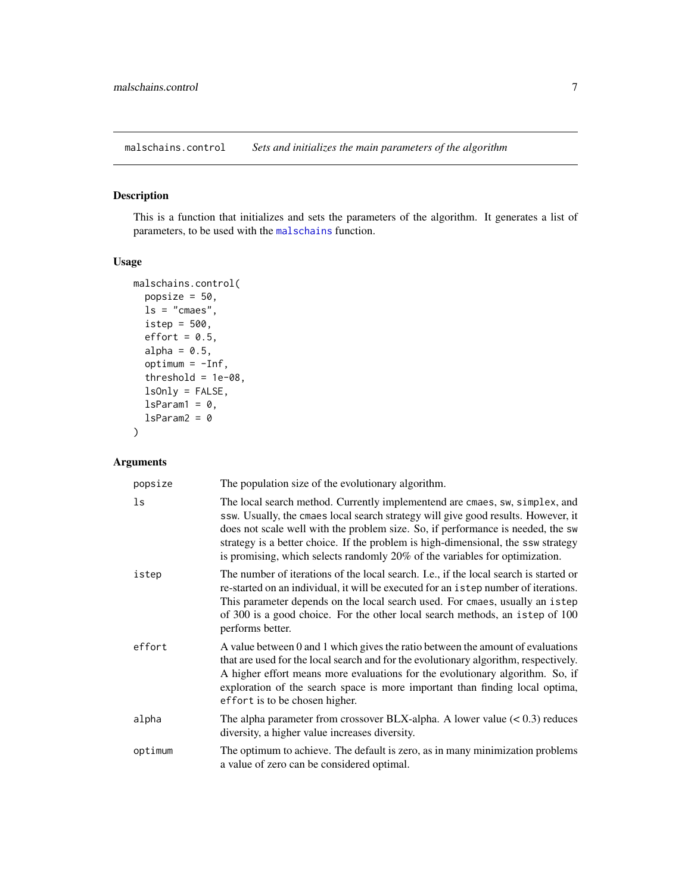<span id="page-6-1"></span><span id="page-6-0"></span>malschains.control *Sets and initializes the main parameters of the algorithm*

#### Description

This is a function that initializes and sets the parameters of the algorithm. It generates a list of parameters, to be used with the [malschains](#page-4-1) function.

## Usage

```
malschains.control(
 popsize = 50,
 ls = "cmaes",
 istep = 500,
 effort = 0.5,
 alpha = 0.5,
 optimum = -Inf,threshold = 1e-08,
 lsOnly = FALSE,
 lsParam1 = 0,lsParam2 = 0)
```
#### Arguments

| popsize | The population size of the evolutionary algorithm.                                                                                                                                                                                                                                                                                                                                                                      |
|---------|-------------------------------------------------------------------------------------------------------------------------------------------------------------------------------------------------------------------------------------------------------------------------------------------------------------------------------------------------------------------------------------------------------------------------|
| ls      | The local search method. Currently implementend are cmaes, sw, simplex, and<br>ssw. Usually, the cmaes local search strategy will give good results. However, it<br>does not scale well with the problem size. So, if performance is needed, the sw<br>strategy is a better choice. If the problem is high-dimensional, the ssw strategy<br>is promising, which selects randomly 20% of the variables for optimization. |
| istep   | The number of iterations of the local search. I.e., if the local search is started or<br>re-started on an individual, it will be executed for an istep number of iterations.<br>This parameter depends on the local search used. For cmaes, usually an istep<br>of 300 is a good choice. For the other local search methods, an istep of 100<br>performs better.                                                        |
| effort  | A value between 0 and 1 which gives the ratio between the amount of evaluations<br>that are used for the local search and for the evolutionary algorithm, respectively.<br>A higher effort means more evaluations for the evolutionary algorithm. So, if<br>exploration of the search space is more important than finding local optima,<br>effort is to be chosen higher.                                              |
| alpha   | The alpha parameter from crossover BLX-alpha. A lower value $(< 0.3$ ) reduces<br>diversity, a higher value increases diversity.                                                                                                                                                                                                                                                                                        |
| optimum | The optimum to achieve. The default is zero, as in many minimization problems<br>a value of zero can be considered optimal.                                                                                                                                                                                                                                                                                             |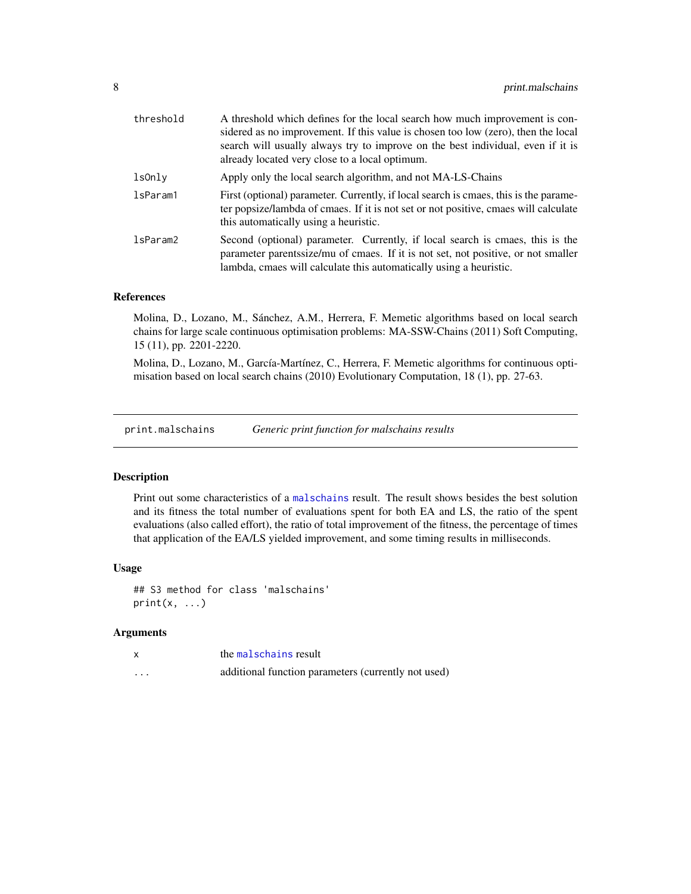<span id="page-7-0"></span>

| threshold | A threshold which defines for the local search how much improvement is con-<br>sidered as no improvement. If this value is chosen too low (zero), then the local<br>search will usually always try to improve on the best individual, even if it is<br>already located very close to a local optimum. |
|-----------|-------------------------------------------------------------------------------------------------------------------------------------------------------------------------------------------------------------------------------------------------------------------------------------------------------|
| lsOnly    | Apply only the local search algorithm, and not MA-LS-Chains                                                                                                                                                                                                                                           |
| lsParam1  | First (optional) parameter. Currently, if local search is cmaes, this is the parame-<br>ter popsize/lambda of cmaes. If it is not set or not positive, cmaes will calculate<br>this automatically using a heuristic.                                                                                  |
| lsParam2  | Second (optional) parameter. Currently, if local search is cmaes, this is the<br>parameter parentssize/mu of cmaes. If it is not set, not positive, or not smaller<br>lambda, cmaes will calculate this automatically using a heuristic.                                                              |

#### References

Molina, D., Lozano, M., Sánchez, A.M., Herrera, F. Memetic algorithms based on local search chains for large scale continuous optimisation problems: MA-SSW-Chains (2011) Soft Computing, 15 (11), pp. 2201-2220.

Molina, D., Lozano, M., García-Martínez, C., Herrera, F. Memetic algorithms for continuous optimisation based on local search chains (2010) Evolutionary Computation, 18 (1), pp. 27-63.

<span id="page-7-1"></span>print.malschains *Generic print function for malschains results*

#### Description

Print out some characteristics of a [malschains](#page-4-1) result. The result shows besides the best solution and its fitness the total number of evaluations spent for both EA and LS, the ratio of the spent evaluations (also called effort), the ratio of total improvement of the fitness, the percentage of times that application of the EA/LS yielded improvement, and some timing results in milliseconds.

#### Usage

## S3 method for class 'malschains'  $print(x, \ldots)$ 

#### Arguments

|          | the malschains result                               |
|----------|-----------------------------------------------------|
| $\cdots$ | additional function parameters (currently not used) |